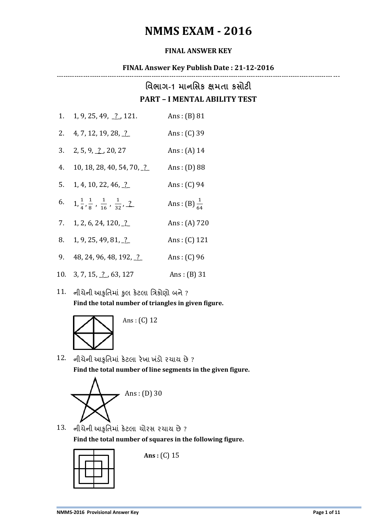# **NMMS EXAM - 2016**

#### **FINAL ANSWER KEY**

#### **FINAL Answer Key Publish Date : 21-12-2016**

--------------------------------------------------------------------------------------------------------------------------------

### **વિભાગ-1 માનવિક ક્ષમતા કિોટી PART – I MENTAL ABILITY TEST**

|    | 1. 1, 9, 25, 49, $\frac{?}{.}$ , 121.                                   | Ans: $(B)$ 81           |
|----|-------------------------------------------------------------------------|-------------------------|
|    | 2. $4, 7, 12, 19, 28, 2$                                                | Ans: $(C)$ 39           |
|    | 3. $2, 5, 9, 2, 20, 27$                                                 | Ans: $(A)$ 14           |
| 4. | 10, 18, 28, 40, 54, 70, $\frac{?}{?}$                                   | Ans: $(D)$ 88           |
|    | 5. 1, 4, 10, 22, 46, $\frac{?}{?}$                                      | Ans: $(C)$ 94           |
| 6. | $1, \frac{1}{4}, \frac{1}{8}, \frac{1}{16}, \frac{1}{32}, \frac{2}{16}$ | Ans: (B) $\frac{1}{64}$ |
|    | 7. 1, 2, 6, 24, 120, $\frac{?}{?}$                                      | Ans: $(A)$ 720          |
| 8. | 1, 9, 25, 49, 81, 2                                                     | Ans: $(C)$ 121          |
|    | 9. 48, 24, 96, 48, 192, 2                                               | Ans: $(C)$ 96           |
|    | 10. 3, 7, 15, 2, 63, 127                                                | Ans: $(B)$ 31           |
|    |                                                                         |                         |

 $11.$  નીચેની આકૃતિમાં કુલ કેટલા ત્રિકોણો બને ? **Find the total number of triangles in given figure.**



Ans : (C) 12

12. નીચેની આકૃતિભાાં કેટરા યેખા ખ ાંડો યચામ છે ? **Find the total number of line segments in the given figure.**



13. નીચેની આકૃતિભાાં કેટરા ચોયવ યચામ છે? **Find the total number of squares in the following figure.**



**Ans :** (C) 15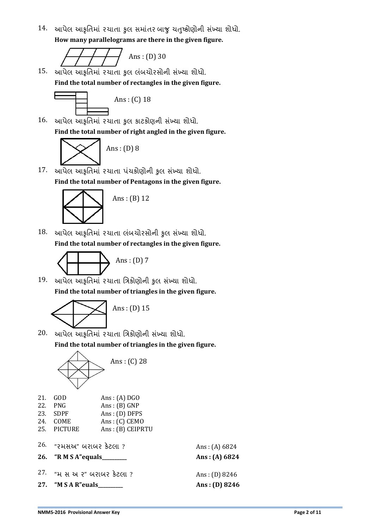14. આપેલ આકૃતિમાં રચાતા કુલ સમાંતર બાજુ ચતુષ્કોણોની સંખ્યા શોધો. **How many parallelograms are there in the given figure.**

Ans : (D) 30

15. આપેલ આકૃતિમાં રચાતા કુલ લંબચોરસોની સંખ્યા શોધો. **Find the total number of rectangles in the given figure.**



16. આપેલ આકૃતિમાં રચાતા કુલ કાટકોણની સંખ્યા શોધો. **Find the total number of right angled in the given figure.**



17. આપેલ આકૃતિમાં રચાતા પંચકોણોની કુલ સંખ્યા શોધો. **Find the total number of Pentagons in the given figure.**



 $18.$  આપેલ આકૃતિમાં રચાતા લંબચોરસોની કુલ સંખ્યા શોધો. **Find the total number of rectangles in the given figure.**



19. આપેલ આકૃતિમાં રચાતા ત્રિકોણોની કુલ સંખ્યા શોધો. **Find the total number of triangles in the given figure.**



20. આપેલ આકૃતિમાં રચાતા ત્રિકોણોની સંખ્યા શોધો.

**Find the total number of triangles in the given figure.**



|     | 21. GOD     | Ans: $(A)$ DGO   |
|-----|-------------|------------------|
| 22. | <b>PNG</b>  | Ans: (B) GNP     |
|     | 23. SDPF    | $Ans: (D)$ DFPS  |
| 24. | <b>COME</b> | $Ans: (C)$ CEMO  |
|     | 25. PICTURE | Ans: (B) CEIPRTU |

| 26. "રમસઅ" બરાબર કેટલા ?                                   | Ans: $(A) 6824$                    |
|------------------------------------------------------------|------------------------------------|
| 26. "RMSA" equals______                                    | Ans: $(A) 6824$                    |
| $27.$ "મ સ અ ૨" બરાબર કેટલા ?<br>27. "M S A R" euals______ | Ans: (D) $8246$<br>Ans: (D) $8246$ |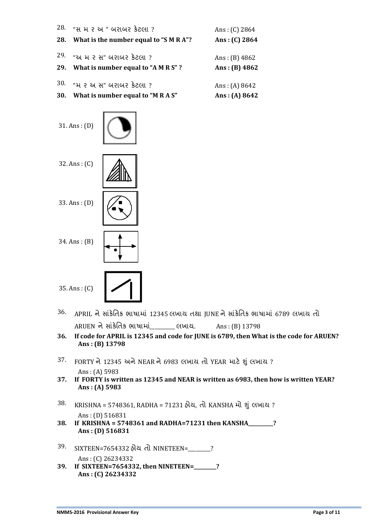| 28.        | 28. "સ મ ર અ" બરાબર કેટલા?<br>What is the number equal to "S M R A"? | Ans: $(C)$ 2864<br>Ans: $(C)$ 2864 |
|------------|----------------------------------------------------------------------|------------------------------------|
| 29.        | "અ મ ૨ સ" બરાબર કેટલા ?                                              | Ans: $(B)$ 4862                    |
| 29.        | What is number equal to "A M R S"?                                   | Ans: (B) $4862$                    |
| 30.        | "મ ૨ અ સ" બરાબર કેટલા ?                                              | Ans: $(A) 8642$                    |
| <b>30.</b> | What is number equal to "M R A S"                                    | Ans: $(A) 8642$                    |



- $36.$  APRIL ને સાંકેતિક ભાષામાં 12345 લખાય તથા JUNE ને સાંકેતિક ભાષામાં 6789 લખાય તો  $ARUEN$  ને સાંકેતિક ભાષામાં લખાય. Ans: (B) 13798
- **36. If code for APRIL is 12345 and code for JUNE is 6789, then What is the code for ARUEN? Ans : (B) 13798**
- 37. FORTY ને 12345 અને NEAR ને 6983 લખાય તો YEAR માટે શું લખાય ? Ans : (A) 5983
- **37. If FORTY is written as 12345 and NEAR is written as 6983, then how is written YEAR? Ans : (A) 5983**
- 38. KRISHNA = 5748361, RADHA = 71231 ફોચ, તો KANSHA મો શું લખાચ? Ans : (D) 516831
- **38. If KRISHNA = 5748361 and RADHA=71231 then KANSHA\_\_\_\_\_\_\_\_\_\_? Ans : (D) 516831**
- 39. SIXTEEN=7654332 શોમ િો NINETEEN=\_\_\_\_\_\_\_\_\_? Ans : (C) 26234332
- **39. If SIXTEEN=7654332, then NINETEEN=\_\_\_\_\_\_\_\_\_? Ans : (C) 26234332**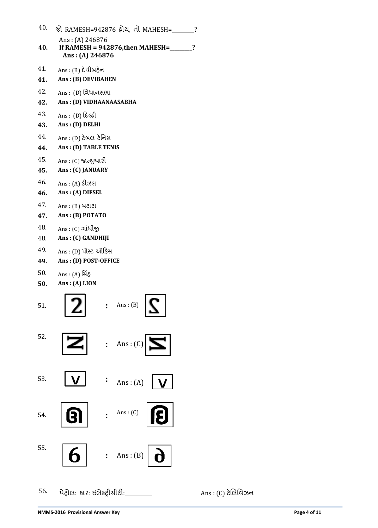| 40. | જો RAMESH=942876 હોય, તો MAHESH=_                                                  | $\overline{\mathcal{L}}$ |
|-----|------------------------------------------------------------------------------------|--------------------------|
| 40. | Ans: $(A)$ 246876<br>If RAMESH = $942876$ , then MAHESH=<br>?<br>Ans: (A) $246876$ |                          |
| 41. | Ans : (B) દેવીબહેન                                                                 |                          |
| 41. | Ans: (B) DEVIBAHEN                                                                 |                          |
| 42. | Ans : (D) વિધાનસભા                                                                 |                          |
| 42. | Ans: (D) VIDHAANAASABHA                                                            |                          |
| 43. | Ans : (D) દિલ્હી                                                                   |                          |
| 43. | Ans: (D) DELHI                                                                     |                          |
| 44. | Ans : (D) ટેબલ ટેનિસ                                                               |                          |
| 44. | Ans: (D) TABLE TENIS                                                               |                          |
| 45. | Ans : (C) જાન્યુઆરી                                                                |                          |
| 45. | Ans: (C) JANUARY                                                                   |                          |
| 46. | Ans : (A) ડીઝલ                                                                     |                          |
| 46. | Ans: (A) DIESEL                                                                    |                          |
| 47. | $Ans: (B)$ બટાટા                                                                   |                          |
| 47. | Ans: (B) POTATO                                                                    |                          |
| 48. | Ans : (C) ગાંધીજી                                                                  |                          |
| 48. | Ans: (C) GANDHIJI                                                                  |                          |
| 49. | Ans : (D) પોસ્ટ ઓફિસ                                                               |                          |
| 49. | Ans: (D) POST-OFFICE                                                               |                          |
| 50. | Ans : (A) સિંહ                                                                     |                          |
| 50. | Ans: (A) LION                                                                      |                          |
| 51. | Ans: $(B)$<br>∼                                                                    |                          |
| 52. | : Ans : (C) $\boxed{\sum}$                                                         |                          |
| 53. | $\vdots$ Ans: (A) $\big  V \big $                                                  |                          |





55. 6



56. ેટ્રોર: કાય: ઇરેક્ટ્ટ્રીવીટી:\_\_\_\_\_\_\_\_\_\_\_ Ans : (C) ટેલરતલઝન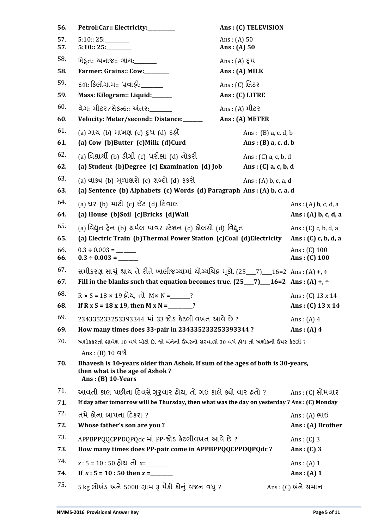| 56.        | Petrol:Car:: Electricity:________                                                                                                                          | Ans: (C) TELEVISION                          |                                  |
|------------|------------------------------------------------------------------------------------------------------------------------------------------------------------|----------------------------------------------|----------------------------------|
| 57.<br>57. | 5:10::25:<br>5:10::25:                                                                                                                                     | Ans: $(A) 50$<br>Ans: (A) 50                 |                                  |
| 58.        | ખેડૂત: અનાજ:: ગાય:______                                                                                                                                   | $Ans: (A) \; \xi \; \mathcal{U}$             |                                  |
| 58.        | Farmer: Grains:: Cow:                                                                                                                                      | $Ans: (A)$ MILK                              |                                  |
| 59.        | દળ: કિલોગ્રામ:: પ્રવાહી:_______                                                                                                                            | Ans : (C) લિટર                               |                                  |
| 59.        | Mass: Kilogram:: Liquid:_____                                                                                                                              | Ans: (C) LITRE                               |                                  |
| 60.        | વેગ: મીટર/સેકન્ડ:: અંતર:                                                                                                                                   | Ans : (A) મીટર                               |                                  |
| 60.        | Velocity: Meter/second:: Distance:______                                                                                                                   | Ans: (A) METER                               |                                  |
| 61.<br>61. | (a) ગાય (b) માખણ (c) દુધ (d) દહીં<br>(a) Cow (b) Butter (c) Milk (d) Curd                                                                                  | Ans: $(B)$ a, c, d, b<br>Ans: (B) a, c, d, b |                                  |
| 62.        | (a) વિદ્યાર્થી (b) ડીગ્રી (c) પરીક્ષા (d) નોકરી                                                                                                            | Ans: (C) a, c, b, d                          |                                  |
| 62.        | (a) Student (b)Degree (c) Examination (d) Job                                                                                                              | Ans: (C) a, c, b, d                          |                                  |
| 63.<br>63. | (a) વાક્ય (b) મૂળાક્ષરો (c) શબ્દો (d) ફકરો<br>(a) Sentence (b) Alphabets (c) Words (d) Paragraph Ans: (A) b, c, a, d                                       | Ans: $(A)$ b, c, a, d                        |                                  |
| 64.        | (a) ધર (b) માટી (c) ઈંટ (d) દિવાલ                                                                                                                          |                                              | Ans: $(A)$ b, c, d, a            |
| 64.        | (a) House (b)Soil (c)Bricks (d)Wall                                                                                                                        |                                              | Ans: $(A)$ b, c, d, a            |
| 65.        | (a)વિદ્યુત ટ્રેન (b) થર્મલ પાવર સ્ટેશન (c) કોલસો (d) વિદ્યુત                                                                                               |                                              | Ans: $(C)$ c, b, d, a            |
| 65.        | (a) Electric Train (b) Thermal Power Station (c) Coal (d) Electricity                                                                                      |                                              | Ans : (C) c, b, d, a             |
| 66.<br>66. | $0.3 \div 0.003 =$                                                                                                                                         |                                              | Ans: $(C)$ 100<br>Ans: $(C)$ 100 |
| 67.        | સમીકરણ સાચું થાય તે રીતે ખાલીજગ્યામાં યોગ્યચિહ્ન મૂકો. (25__7)__16=2 Ans: (A) +, ÷                                                                         |                                              |                                  |
| 67.        | Fill in the blanks such that equation becomes true. $(25_{}7)_{16=2}$ Ans : (A) +, ÷                                                                       |                                              |                                  |
| 68.        | $R \times S = 18 \times 19$ હોય, તો $M \times N =$ _____?                                                                                                  |                                              | Ans: (C) $13 \times 14$          |
| 68.        | If R x S = 18 x 19, then M x N = ______?                                                                                                                   |                                              | Ans: (C) $13 \times 14$          |
| 69.        | 234335233253393344 માં 33 જોડ કેટલી વખત આવે છે?                                                                                                            |                                              | Ans: $(A)$ 4                     |
| 69.        | How many times does 33-pair in 234335233253393344 ?                                                                                                        |                                              | Ans: $(A)$ 4                     |
| 70.        | અશોકકરતાં ભાવેશ 10 વર્ષ મોટો છે. જો બંનેની ઉંમરનો સરવાળો 30 વર્ષ હોય તો અશોકની ઉંમર કેટલી ?                                                                |                                              |                                  |
| 70.        | $Ans: (B) 10$ વર્ષ<br>Bhavesh is 10-years older than Ashok. If sum of the ages of both is 30-years,<br>then what is the age of Ashok?<br>Ans: (B) 10-Years |                                              |                                  |
| 71.        | આવતી કાલ પછીના દિવસે ગુરૃવાર હોય, તો ગઇ કાલે ક્યો વાર હતો ?                                                                                                |                                              | Ans : (C) સોમવાર                 |
| 71.        | If day after tomorrow will be Thursday, then what was the day on yesterday ? Ans : (C) Monday                                                              |                                              |                                  |
| 72.        | તમે કોના બાપના દિકરા ?                                                                                                                                     |                                              | $Ans: (A)$ ભાઇ                   |
| 72.        | Whose father's son are you?                                                                                                                                |                                              | Ans: (A) Brother                 |
| 73.        | APPBPPQQCPPDQPQdc માં PP-જોડ કેટલીવખત આવે છે?                                                                                                              |                                              | Ans: $(C)$ 3                     |
| 73.        | How many times does PP-pair come in APPBPPQQCPPDQPQdc?                                                                                                     |                                              | Ans: $(C)$ 3                     |
| 74.        | $x:5 = 10:50$ હોય તો $x=$                                                                                                                                  |                                              | Ans: $(A)$ 1                     |
| 74.        |                                                                                                                                                            |                                              | Ans: $(A)$ 1                     |
| 75.        | 5 kg લોખંડ અને 5000 ગ્રામ રૂ પૈકી કોનું વજન વધુ ?                                                                                                          |                                              | Ans: (C) બંને સમાન               |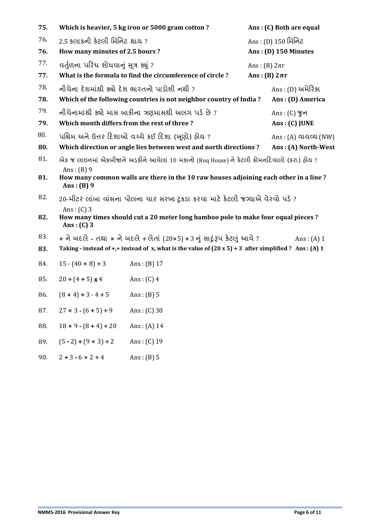| 75. |                                                        | Which is heavier, 5 kg iron or 5000 gram cotton?                                                              |                   | Ans: (C) Both are equal |
|-----|--------------------------------------------------------|---------------------------------------------------------------------------------------------------------------|-------------------|-------------------------|
| 76. | 2.5 કલાકની કેટલી મિનિટ થાય ?<br>Ans : (D) 150 મિનિટ    |                                                                                                               |                   |                         |
| 76. | How many minutes of 2.5 hours?<br>Ans: (D) 150 Minutes |                                                                                                               |                   |                         |
| 77. | વર્તુળના પરિધ શોધવાનું સૂત્ર ક્યું ?                   |                                                                                                               | Ans: (B) $2\pi r$ |                         |
| 77. |                                                        | What is the formula to find the circumference of circle?                                                      | Ans: (B) $2\pi r$ |                         |
| 78. | નીચેના દેશમાંથી ક્યો દેશ ભારતનો પાડોશી નથી ?           |                                                                                                               |                   | Ans : (D) અમેરિકા       |
| 78. |                                                        | Which of the following countries is not neighbor country of India?                                            |                   | Ans: (D) America        |
| 79. |                                                        | નીચેનામાંથી ક્યો માસ બાકીના ત્રણમાસથી અલગ પડે છે ?                                                            |                   | Ans: $(C)$ %न           |
| 79. | Which month differs from the rest of three?            |                                                                                                               |                   | Ans: (C) JUNE           |
| 80. |                                                        | પશ્ચિમ અને ઉત્તર દિશાઓ વચ્ચે કઈ દિશા (ખૂણો) હોય ?                                                             |                   | $Ans: (A)$ વાયવ્ય (NW)  |
| 80. |                                                        | Which direction or angle lies between west and north directions?                                              |                   | Ans: (A) North-West     |
| 81. |                                                        | એક જ લાઇનમાં એકબીજાને અડકીને આવેલાં 10 મકાનો (Roq House) ને કેટલી કોમનદિવાલો (કરા) હોય?                       |                   |                         |
| 81. | Ans: $(B)$ 9<br>Ans: $(B)$ 9                           | How many common walls are there in the 10 raw houses adjoining each other in a line?                          |                   |                         |
| 82. |                                                        | 20-મીટર લાંબા વાંસના પોલના ચાર સરખા ટકડા કરવા માટે કેટલી જગ્યાએ વેરવો પડે?                                    |                   |                         |
| 82. | Ans: $(C)$ 3<br>Ans: $(C)$ 3                           | How many times should cut a 20 meter long bamboo pole to make four equal pieces?                              |                   |                         |
| 83. |                                                        | + ને બદલે - તથા × ને બદલે ÷લેતાં (20×5) + 3 નું સાદુંરૂપ કેટલું આવે ?                                         |                   | Ans: $(A)$ 1            |
| 83. |                                                        | Taking - instead of +, + instead of x, what is the value of $(20 \times 5) + 3$ after simplified ? Ans: (A) 1 |                   |                         |
| 84. | $15 - (40 \times 8) \div 3$                            | Ans: $(B)$ 17                                                                                                 |                   |                         |
| 85. | $20 \div (4 + 5) \times 4$                             | Ans: $(C)$ 4                                                                                                  |                   |                         |
| 86. | $(8 \times 4) + 3 - 4 \div 5$                          | Ans: $(B)$ 5                                                                                                  |                   |                         |
| 87. | $27 \times 3 - (6 + 5) \div 9$                         | Ans: $(C)$ 30                                                                                                 |                   |                         |
| 88. | $18 \times 9 - (8 + 4) \div 20$                        | Ans: $(A) 14$                                                                                                 |                   |                         |
| 89. | $(5 - 2) + (9 \times 3) \div 2$                        | Ans: $(C)$ 19                                                                                                 |                   |                         |
| 90. | $2 + 3 - 6 \times 2 \div 4$                            | Ans: $(B)$ 5                                                                                                  |                   |                         |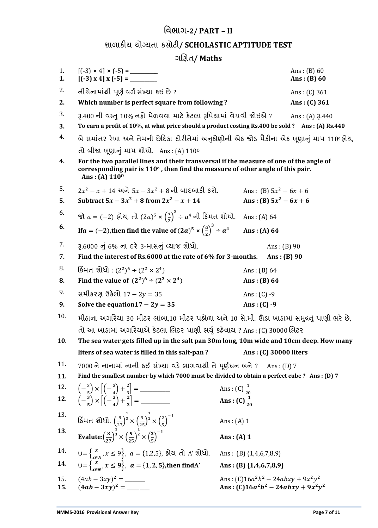## **વિભાગ-2/ PART – II**

## ળાાકીમ મોગ્મિા કવોટી**/ SCHOLASTIC APTITUDE TEST**

### ગલણિ**/ Maths**

| 1.<br>1.   |                                                                                                                                                                                                                                                            |                                                                                | Ans: $(B)$ 60<br>Ans: $(B)$ 60 |
|------------|------------------------------------------------------------------------------------------------------------------------------------------------------------------------------------------------------------------------------------------------------------|--------------------------------------------------------------------------------|--------------------------------|
| 2.         | નીચેનામાંથી પૂર્ણ વર્ગ સંખ્યા કઇ છે?                                                                                                                                                                                                                       |                                                                                | Ans: $(C)$ 361                 |
| 2.         | Which number is perfect square from following?                                                                                                                                                                                                             |                                                                                | Ans: $(C)$ 361                 |
| 3.<br>3.   | ३.400 ની વસ્તુ 10% નફો મેળવવા માટે કેટલા રૂપિયામાં વેચવી જોઇએ ?<br>To earn a profit of 10%, at what price should a product costing Rs.400 be sold ? Ans: (A) Rs.440                                                                                        |                                                                                | Ans: $(A)$ 3.440               |
| 4.         | બે સમાંતર રેખા અને તેમની છેદિકા દોરીતેમાં અનુકોણોની એક જોડ પૈકીના એક ખૂણાનું માપ 110ºહોય,                                                                                                                                                                  |                                                                                |                                |
| 4.         | તો બીજા ખૂણાનું માપ શોધો. Ans: (A) $110^{\circ}$<br>For the two parallel lines and their transversal if the measure of one of the angle of<br>corresponding pair is $110^{\circ}$ , then find the measure of other angle of this pair.<br>Ans: (A) $110^0$ |                                                                                |                                |
| 5.         | $2x^2 - x + 14$ અને $5x - 3x^2 + 8$ ની બાદબાકી કરો.                                                                                                                                                                                                        | Ans: (B) $5x^2 - 6x + 6$                                                       |                                |
| 5.         | Subtract $5x - 3x^2 + 8$ from $2x^2 - x + 14$                                                                                                                                                                                                              | Ans: (B) $5x^2 - 6x + 6$                                                       |                                |
| 6.         | જો $a = (-2)$ હોય, તો $(2a)^5 \times \left(\frac{a}{2}\right)^3 \div a^4$ ની કિંમત શોધો.                                                                                                                                                                   | Ans: $(A)$ 64                                                                  |                                |
| 6.         | If $a = (-2)$ , then find the value of $(2a)^5 \times \left(\frac{a}{2}\right)^3 \div a^4$                                                                                                                                                                 | Ans: $(A)$ 64                                                                  |                                |
| 7.         | 3.6000 નું 6% ના દરે 3-માસનું વ્યાજ શોધો.                                                                                                                                                                                                                  | Ans: $(B)$ 90                                                                  |                                |
| 7.         | Find the interest of Rs.6000 at the rate of 6% for 3-months.                                                                                                                                                                                               | Ans: $(B)$ 90                                                                  |                                |
| 8.         | કિંમત શોધો : $(2^2)^6 \div (2^2 \times 2^4)$                                                                                                                                                                                                               | Ans: $(B) 64$                                                                  |                                |
| 8.         | Find the value of $(2^2)^6 \div (2^2 \times 2^4)$                                                                                                                                                                                                          | Ans: $(B) 64$                                                                  |                                |
| 9.         | સમીકરણ ઉકેલો 17 – 2y = 35                                                                                                                                                                                                                                  | Ans: $(C) -9$                                                                  |                                |
| 9.         | Solve the equation $17 - 2y = 35$                                                                                                                                                                                                                          | Ans: $(C) -9$                                                                  |                                |
| 10.        | મીઠાના અગરિયા 30 મીટર લાંબા,10 મીટર પહોળા અને 10 સે.મી. ઊંડા ખાડામાં સમુદ્રનું પાણી ભરે છે,                                                                                                                                                                |                                                                                |                                |
|            | તો આ ખાડામાં અગરિયાએ કેટલા લિટર પાણી ભર્યું કહેવાય ? Ans : (C) 30000 લિટર                                                                                                                                                                                  |                                                                                |                                |
| 10.        | The sea water gets filled up in the salt pan 30m long, 10m wide and 10cm deep. How many                                                                                                                                                                    |                                                                                |                                |
|            | liters of sea water is filled in this salt-pan?                                                                                                                                                                                                            | Ans: (C) 30000 liters                                                          |                                |
| 11.        | $7000$ ને નાનામાં નાની કઈ સંખ્યા વડે ભાગવાથી તે પૂર્ણધન બને ?                                                                                                                                                                                              | Ans: $(D)$ 7                                                                   |                                |
| 11.        | Find the smallest number by which 7000 must be divided to obtain a perfect cube ? Ans: (D) 7                                                                                                                                                               |                                                                                |                                |
| 12.        | $\left(-\frac{3}{5}\right) \times \left  \left(-\frac{3}{4}\right) + \frac{2}{3} \right  =$                                                                                                                                                                | Ans: (C) $\frac{1}{20}$                                                        |                                |
| 12.        | $\left(-\frac{3}{5}\right) \times \left[ \left(-\frac{3}{4}\right) + \frac{2}{3} \right] =$                                                                                                                                                                | Ans : (C) $\frac{1}{20}$                                                       |                                |
| 13.        | કિંમત શોધો. $\left(\frac{8}{27}\right)^{\frac{1}{3}} \times \left(\frac{9}{25}\right)^{\frac{1}{2}} \times \left(\frac{2}{5}\right)^{-1}$                                                                                                                  | Ans: $(A)$ 1                                                                   |                                |
| 13.        | Evalute: $\left(\frac{8}{27}\right)^{\frac{1}{3}} \times \left(\frac{9}{25}\right)^{\frac{1}{2}} \times \left(\frac{2}{5}\right)^{-1}$                                                                                                                     | Ans: $(A)$ 1                                                                   |                                |
| 14.        | $U = \left\{ \frac{x}{x \in N}, x \le 9 \right\}, a = \{1,2,5\}, \text{ all } A' \text{ all } X.$                                                                                                                                                          | Ans: (B) $\{1,4,6,7,8,9\}$                                                     |                                |
| 14.        | $\bigcup = \left\{ \frac{x}{x \in N}, x \le 9 \right\}, a = \{1, 2, 5\}, \text{then find } A'$                                                                                                                                                             | Ans: (B) $\{1,4,6,7,8,9\}$                                                     |                                |
| 15.<br>15. |                                                                                                                                                                                                                                                            | Ans: $(C)16a^2b^2 - 24abxy + 9x^2y^2$<br>Ans: $(C)16a^2b^2 - 24abxy + 9x^2y^2$ |                                |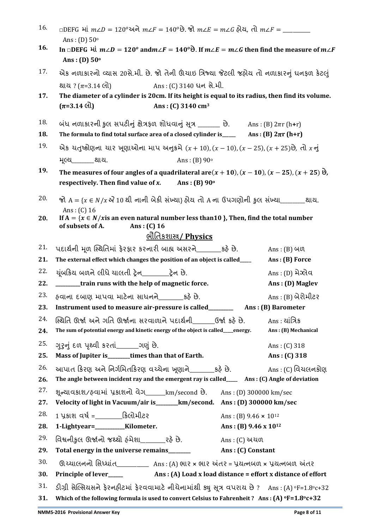| 16. | $\Box$ DEFG માં $m\angle D = 120^\circ$ અને $m\angle F = 140^\circ$ છે. જો $m\angle E = m\angle G$ હોય, તો $m\angle F =$ _______<br>Ans: $(D)$ 50 $^{\circ}$                         |                                         |
|-----|--------------------------------------------------------------------------------------------------------------------------------------------------------------------------------------|-----------------------------------------|
| 16. | In $\Box$ DEFG $\forall$ in $m \angle D = 120^{\circ}$ and $m \angle F = 140^{\circ}$ is If $m \angle E = m \angle G$ then find the measure of $m \angle F$<br>Ans: (D) $50^{\circ}$ |                                         |
| 17. | એક નળાકારનો વ્યાસ 20સે.મી. છે. જો તેની ઊંચાઇ ત્રિજ્યા જેટલી જહોય તો નળાકારનું ધનફળ કેટલું                                                                                            |                                         |
|     | Ans : (C) 3140 ધન સે.મી.<br>શાય ? ( $\pi$ =3.14 લો)                                                                                                                                  |                                         |
| 17. | The diameter of a cylinder is 20cm. If its height is equal to its radius, then find its volume.                                                                                      |                                         |
|     | $(\pi=3.14 \text{ dl})$<br>Ans: (C) 3140 cm <sup>3</sup>                                                                                                                             |                                         |
| 18. | બંધ નળાકારની કુલ સપટીનું ક્ષેત્રફળ શોધવાનું સૂત્ર ______ છે. Ans: (B) 2πr (h+r)                                                                                                      |                                         |
| 18. | The formula to find total surface area of a closed cylinder is __________ Ans: (B) $2\pi r$ (h+r)                                                                                    |                                         |
| 19. | એક યતુષ્કોણના યાર ખૂણાઓના માપ અનુક્રમે $(x + 10)$ , $(x - 10)$ , $(x - 25)$ , $(x + 25)$ છે, તો x નું                                                                                |                                         |
|     | મૂલ્ય_____શાય.<br>Ans: $(B)$ 90 $^{\circ}$                                                                                                                                           |                                         |
| 19. | The measures of four angles of a quadrilateral are $(x + 10)$ , $(x - 10)$ , $(x - 25)$ , $(x + 25)$ $\Theta$ ,                                                                      |                                         |
|     | respectively. Then find value of $x$ . Ans: (B) $90^{\circ}$                                                                                                                         |                                         |
| 20. | જો A = { $x \in N/x$ $\mathcal{U}$ 10 થી નાની બેકી સંખ્યા} હોય તો A ના ઉપગણોની કુલ સંખ્યા________ થાય.<br>Ans: $(C)$ 16                                                              |                                         |
| 20. | If $A = \{x \in N / x$ is an even natural number less than 10 }, Then, find the total number<br>of subsets of A.<br>Ans: $(C)$ 16                                                    |                                         |
|     | <u>ભૌતિકશાસ્ત્ર/ Physics</u>                                                                                                                                                         |                                         |
| 21. | પદાર્થની મૂળ સ્થિતિમાં ફેરફાર કરનારી બાહ્ય અસરને_______કહે છે.                                                                                                                       | $Ans: (B)$ $40$                         |
| 21. | The external effect which changes the position of an object is called____                                                                                                            | Ans: (B) Force                          |
| 22. | યૂંબકિય બળને લીધે ચાલતી ટ્રેન__________ટ્રેન છે.                                                                                                                                     | Ans : (D) મેગ્લેવ                       |
| 22. | ________train runs with the help of magnetic force.                                                                                                                                  | Ans: (D) Maglev                         |
| 23. | હવાના દબાણ માપવા માટેના સાધનને_______કહે છે.                                                                                                                                         | Ans : (B) બેરોમીટર                      |
| 23. | Instrument used to measure air-pressure is called_______________ Ans: (B) Barometer                                                                                                  |                                         |
| 24. | સ્થિતિ ઊર્જા અને ગતિ ઊર્જાના સરવાળાને પદાર્થની______ઉર્જા કર્ઠ છે.          Ans : યાંત્રિક                                                                                           |                                         |
| 24. | The sum of potential energy and kinetic energy of the object is called_energy.                                                                                                       | Ans: (B) Mechanical                     |
| 25. | ગુરુનું દળ પૃથ્વી કરતાં_______ગણું છે.                                                                                                                                               | Ans: $(C)$ 318                          |
| 25. | Mass of Jupiter is______times than that of Earth.                                                                                                                                    | Ans: $(C)$ 318                          |
| 26. | આપાત કિરણ અને નિર્ગમિતકિરણ વચ્ચેના ખૃણાને_______કઠે છે._                                                                                                                             | Ans: (C) વિચલનકોણ                       |
| 26. | The angle between incident ray and the emergent ray is called_____ Ans: (C) Angle of deviation                                                                                       |                                         |
| 27. | શૂન્યાવકાશ/હવામાં પ્રકાશનો વેગ_____km/second છે.                                                                                                                                     | Ans: (D) 300000 km/sec                  |
| 27. | Velocity of light in Vacuum/air is_______km/second. Ans: (D) 300000 km/sec                                                                                                           |                                         |
| 28. | 1 પ્રકાશ વર્ષ =______________કિલોમીટર                                                                                                                                                | Ans: (B) 9.46 $\times$ 10 <sup>12</sup> |
| 28. | 1-Lightyear=__________Kilometer.                                                                                                                                                     | Ans: (B) $9.46 \times 10^{12}$          |
| 29. | વિશ્વનીકલ ઊર્જાનો જથ્થો ઠંમેશા _______ રહે છે.                                                                                                                                       | Ans: (C) અચળ                            |
| 29. | Total energy in the universe remains______                                                                                                                                           | Ans: (C) Constant                       |
| 30. | 0. ચ્યાલનનો સિધ્ધાંત___________ Ans : (A) ભાર × ભાર અંતર = પ્રયત્નબળ × પ્રયત્નબળ અંતર                                                                                                |                                         |
| 30. |                                                                                                                                                                                      |                                         |
| 31. | ડીગ્રી સેલ્સિયસને ફેરનહીટમાં ફેરવવામાટે નીચેનામાંથી ક્યુ સૂત્ર વપરાય છે ? Ans : (A) ºF=1.8ºc+32                                                                                      |                                         |
| 31. | Which of the following formula is used to convert Celsius to Fahrenheit? Ans: (A) $\textdegree$ F=1.8 $\textdegree$ c+32                                                             |                                         |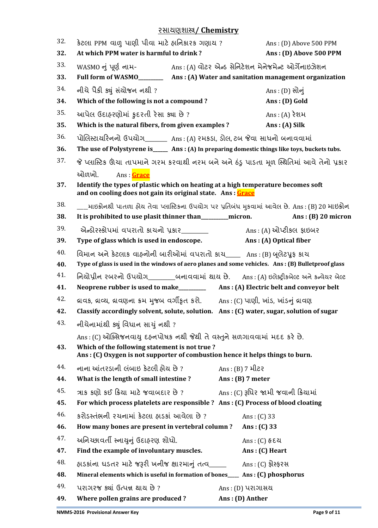#### યવામણળાસ્ત્ર**/ Chemistry**

| 32.<br>32. | કેટલા PPM વાળુ પાણી પીવા માટે હાનિકારક ગણાય ?<br>At which PPM water is harmful to drink?                                                                                                 | Ans: (D) Above 500 PPM<br>Ans: (D) Above 500 PPM |  |
|------------|------------------------------------------------------------------------------------------------------------------------------------------------------------------------------------------|--------------------------------------------------|--|
| 33.        |                                                                                                                                                                                          |                                                  |  |
| 33.        | Full form of WASMO______________ Ans: (A) Water and sanitation management organization                                                                                                   |                                                  |  |
| 34.        | નીચે પૈકી ક્યું સંચોજન નથી ?                                                                                                                                                             | Ans : (D) સોનું                                  |  |
| 34.        | Which of the following is not a compound?                                                                                                                                                | Ans: (D) Gold                                    |  |
| 35.        | આપેલ ઉદાહરણોમાં ફદરતી રેસા ક્યા છે?                                                                                                                                                      | Ans: $(A)$ રેશમ                                  |  |
| 35.        | Which is the natural fibers, from given examples?                                                                                                                                        | Ans: (A) Silk                                    |  |
| 36.        | પોલિસ્ટાયરિનનો ઉપયોગ______ Ans: (A) રમકડા, ડોલ, ટબ જેવા સાધનો બનાવવામાં                                                                                                                  |                                                  |  |
| 36.        | The use of Polystyrene is_____ Ans: (A) In preparing domestic things like toys, buckets tubs.                                                                                            |                                                  |  |
| 37.        | જે પ્લાસ્ટિક ઊંચા તાપમાને ગરમ કરવાથી નરમ બને અને ઠંડુ પાડતા મૂળ સ્થિતિમાં આવે તેનો પ્રકાર                                                                                                |                                                  |  |
|            | Ans : Grace<br>ઓળખો.                                                                                                                                                                     |                                                  |  |
| 37.        | Identify the types of plastic which on heating at a high temperature becomes soft<br>and on cooling does not gain its original state. Ans: Grace                                         |                                                  |  |
| 38.        | ____માઇક્રોનથી પાતળા હોય તેવા પ્લાસ્ટિકના ઉપયોગ પર પ્રતિબંધ મુકવામાં આવેલ છે. Ans : (B) 20 માઇક્રોન                                                                                      |                                                  |  |
| 38.        | It is prohibited to use plasit thinner than_____________ micron.                                                                                                                         | Ans: $(B)$ 20 micron                             |  |
| 39.        | એન્ડોરસ્કોપમાં વપરાતો કાચનો પ્રકાર_______                                                                                                                                                | Ans: (A) ઓપ્ટીકલ ફાઇબર                           |  |
| 39.        | Type of glass which is used in endoscope.                                                                                                                                                | Ans: (A) Optical fiber                           |  |
| 40.        | વિમાન અને કેટલાક વાહનોની બારીઓમાં વપરાતો કાચ_____ Ans: (B) બૂલેટપુફ કાચ                                                                                                                  |                                                  |  |
| 40.        | Type of glass is used in the windows of aero planes and some vehicles. Ans: (B) Bulletproof glass                                                                                        |                                                  |  |
| 41.        | નિયોપ્રીન રબરનો ઉપયોગ_______બનાવવામાં થાય છે. Ans: (A) ઇલેક્ટ્રીકબેલ્ટ અને કન્વેયર બેલ્ટ                                                                                                 |                                                  |  |
| 41.        |                                                                                                                                                                                          |                                                  |  |
| 42.<br>42. | વ્રાવક, વ્રાવ્ય, વ્રાવણના ક્રમ મુજબ વર્ગીકૃત કરો.       Ans : (C) પાણી, ખાંડ, ખાંડનું વ્રાવણ<br>Classify accordingly solvent, solute, solution. Ans: (C) water, sugar, solution of sugar |                                                  |  |
| 43.        | નીચેનામાંથી ક્યું વિધાન સાયું નથી ?                                                                                                                                                      |                                                  |  |
|            | Ans: (C) ઓક્સિજનવાયુ દહનપોષક નથી જેથી તે વસ્તુને સળગાવવામાં મદદ કરે છે.                                                                                                                  |                                                  |  |
| 43.        | Which of the following statement is not true?<br>Ans: (C) Oxygen is not supporter of combustion hence it helps things to burn.                                                           |                                                  |  |
| 44.        | નાના આંતરડાની લંબાઇ કેટલી હોય છે ?                                                                                                                                                       | Ans : (B) 7 મીટર                                 |  |
| 44.        | What is the length of small intestine?                                                                                                                                                   | Ans: $(B)$ 7 meter                               |  |
| 45.        | ત્રાક કણો કઈ ક્રિયા માટે જવાબદાર છે ?                                                                                                                                                    | Ans: (C) રૂપિર જામી જવાની ક્રિયામાં              |  |
| 45.        | For which process platelets are responsible ? Ans : (C) Process of blood cloating                                                                                                        |                                                  |  |
| 46.        | કરોડસ્તંભની રચનામાં કેટલા ઠાડકાં આવેલા છે ?                                                                                                                                              | Ans: $(C)$ 33                                    |  |
| 46.        | How many bones are present in vertebral column?                                                                                                                                          | Ans: $(C)$ 33                                    |  |
| 47.        | અનિચ્છાવર્તી સ્નાયુનું ઉદાહરણ શોધો.                                                                                                                                                      | Ans : (C) હૃદય                                   |  |
| 47.        | Find the example of involuntary muscles.                                                                                                                                                 | $Ans: (C)$ Heart                                 |  |
| 48.        | હાડકાંના ધડતર માટે જરૂરી ખનીજ ક્ષારમાનું તત્વ                                                                                                                                            | Ans: $(C)$ ફોસ્ફરસ                               |  |
| 48.        | Mineral elements which is useful in formation of bones___ Ans: (C) phosphorus                                                                                                            |                                                  |  |
| 49.        | પરાગરજ ક્યાં ઉત્પન્ન થાય છે?                                                                                                                                                             | Ans: (D) પરાગાસચ                                 |  |
| 49.        | Where pollen grains are produced?                                                                                                                                                        | Ans: (D) Anther                                  |  |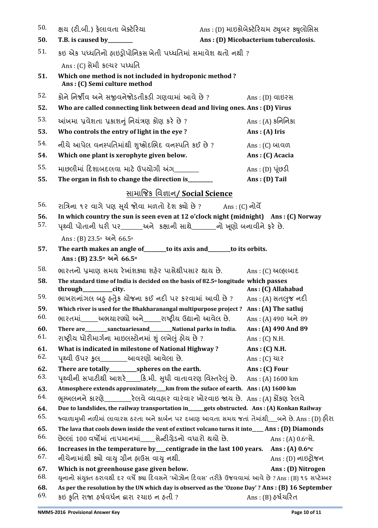| 50.        | ક્ષય (ટી.બી.) ફેલાવતા બેક્ટેરિયા                                                                                                                   | Ans: (D) માઇક્રોબેક્ટેરિયમ ટ્યુબર ક્યુલોસિસ |
|------------|----------------------------------------------------------------------------------------------------------------------------------------------------|---------------------------------------------|
| 50.        | T.B. is caused by_______                                                                                                                           | Ans: (D) Micobacterium tuberculosis.        |
| 51.        | કઇ એક પધ્ધતિનો ફાઇડ્રોપોનિકસ ખેતી પધ્ધતિમાં સમાવેશ થતો નથી?                                                                                        |                                             |
|            | Ans: (C) સેમી કલ્ચર પધ્ધતિ                                                                                                                         |                                             |
| 51.        | Which one method is not included in hydroponic method?<br>Ans: (C) Semi culture method                                                             |                                             |
| 52.        | કોને નિર્જીવ અને સજીવનેજોડતીકડી ગણવામાં આવે છે ?                                                                                                   | Ans: (D) વાઇરસ                              |
| 52.        | Who are called connecting link between dead and living ones. Ans: (D) Virus                                                                        |                                             |
| 53.        | આંખમા પ્રવેશતા પ્રકાશનું નિયંત્રણ કોણ કરે છે?                                                                                                      | $Ans: (A)$ કનિનિકા                          |
| 53.        | Who controls the entry of light in the eye ?                                                                                                       | Ans: $(A)$ Iris                             |
| 54.        | નીચે આપેલ વનસ્પતિમાંથી શુષ્કોદલિદ વનસ્પતિ કઈ છે ?                                                                                                  | $Ans: (C)$ બાવળ                             |
| 54.        | Which one plant is xerophyte given below.                                                                                                          | Ans: (C) Acacia                             |
| 55.        | માછલીમાં દિશાબદલવા માટે ઉપયોગી અંગ _______                                                                                                         | Ans : (D) પૂંછડી                            |
| 55.        | The organ in fish to change the direction is______                                                                                                 | Ans: (D) Tail                               |
|            | <u>સામાજિક વિજ્ઞાન/ Social Science</u>                                                                                                             |                                             |
| 56.        | રાત્રિના ૧૨ વાગે પણ સૂર્ય જોવા મળતો દેશ ક્યો છે ?                                                                                                  | Ans : (C) નોર્વે                            |
| 56.        | In which country the sun is seen even at 12 o'clock night (midnight) Ans: (C) Norway                                                               |                                             |
| 57.        | પૃથ્વી પોતાની ધરી પર_______અને કક્ષાની સાથે_______નો ખૂણો બનાવીને ફરે છે.                                                                          |                                             |
|            | Ans: (B) 23.5° અને 66.5°                                                                                                                           |                                             |
| 57.        | The earth makes an angle of _______ to its axis and _______ to its orbits.<br>Ans: (B) 23.5° અને 66.5°                                             |                                             |
| 58.        | ભારતનો પ્રમાણ સમય રેખાંશક્યા શહેર પાસેથીપસાર થાય છે.                                                                                               | $Ans: (C)$ અલ્હાબાદ                         |
| 58.        | The standard time of India is decided on the basis of 82.5° longitude which passes                                                                 |                                             |
| 59.        | through________city.<br>ભાખરાનાંગલ બફ હતેુક ચોજના કઈ નદી પર કરવામાં આવી છે?                                                                        | Ans: (C) Allahabad<br>Ans : (A) સતલુજ નદી   |
| 59.        | Which river is used for the Bhakharanangal multipurpose project ? Ans: (A) The satluj                                                              |                                             |
| 60.        | ભારતમાં_____અભયારણ્યો અને_____રાષ્ટ્રીય ઉદ્યાનો આવેલ છે.                                                                                           | Ans: (A) 490 અને 89                         |
| 60.        | There are_________sanctuariesand_________National parks in India.                                                                                  | Ans: (A) 490 And 89                         |
| 61.        | રાષ્ટ્રીય ધોરીમાર્ગના માઇલસ્ટોનમાં શું લખેલું હોય છે ?                                                                                             | Ans: $(C)$ N.H.                             |
| 61.        | What is indicated in milestone of National Highway?                                                                                                | Ans: (C) N.H.                               |
| 62.        | પૃથ્વી ઉપર કુલ_________આવરણો આવેલા છે.                                                                                                             | Ans: (C) ચાર                                |
| 62.<br>63. |                                                                                                                                                    | Ans: (C) Four                               |
| 63.        | Atmosphere extends approximately__km from the suface of earth. Ans: (A) 1600 km                                                                    |                                             |
| 64.        | ભૂસ્ખલનને કારણે_________રેલવે વ્યવહાર વારંવાર ખોરવાઇ જાય છે. Ans: (A) કોંકણ રેલવે                                                                  |                                             |
| 64.        | Due to landslides, the railway transportation in_examples obstructed. Ans: (A) Konkan Railway                                                      |                                             |
| 65.        | જ્વાળામુખી નળીમાં લાવારસ ઠરતા અને કાર્બન પર દબાણ આવતા સમય જતાં તેમાંથી___બને છે. Ans : (D) હીરા                                                    |                                             |
| 65.        | The lava that cools down inside the vent of extinct volcano turns it into____Ans: (D) Diamonds                                                     |                                             |
| 66.        | છેલ્લાં 100 વર્ષોમાં તાપમાનમાં_____ સેન્ટીગ્રેડનો વધારો થયો છે.                                                                                    | Ans: (A) $0.6 \, \text{R}$ .                |
| 66.        | Increases in the temperature by_centigrade in the last 100 years.                                                                                  | Ans: (A) $0.6^{\circ}c$                     |
| 67.        | નીચેનામાંથી ક્યો વાયુ ગ્રીન હ્રાઉસ વાયુ નથી.                                                                                                       | Ans : (D) નાઇટ્રોજન                         |
| 67.<br>68. | Which is not greenhouse gase given below.<br>યુનાનો સંયુક્ત ઠરાવથી દર વર્ષે ક્યા દિવસને 'ઓઝોન દિવસ' તરીકે ઉજવવામાં આવે છે ? Ans : (B) ૧૬ સપ્ટેમ્બર | Ans: (D) Nitrogen                           |
| 68.        | As per the resolution by the UN which day is observed as the 'Ozone Day'? Ans: (B) 16 September                                                    |                                             |
| 69.        | કઇ કૃતિ રાજા હર્ષવર્ધન દ્વારા ૨ચાઇ ન હતી ?                                                                                                         | Ans : (B) હર્ષચરિત                          |
|            |                                                                                                                                                    |                                             |